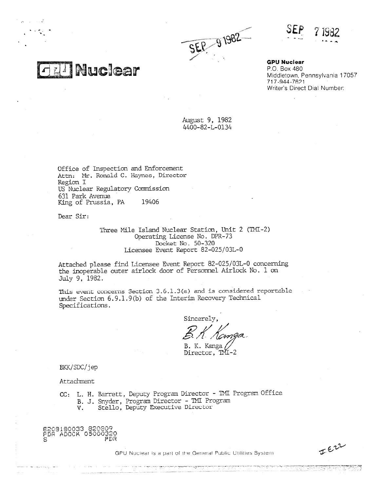



**GPU Nuclear** P.O. Box 480 Middletown, Pennsylvania 17057 717-944-7621 Writer's Direct Dial Number:

August 9, 1982 4400-82-L-0134

Office of Inspection and Enforcement Attn: Mr. Ronald C. Haynes, Director Region I US Nuclear Regulatory Commission 631 Park Avenue King of Prussia, PA 19406

**Ell Nuclear** 

Dear Sir:

Three Mile Island Nuclear Station, Unit 2 (TMI-2) Operating License No. DPR-73 Docket No\_ 50-320 Licensee Event Report 82-025/03L-0

Attached please find Licensee Event Report 82-025/03L-0 concerning the inoperable outer airlock door of Personnel Airlock No. 1 on July 9, 1982.

This event concerns Section  $3.6.1.3(a)$  and is considered reportable under Section 6.9.1.9(b) of the Interim Recovery Technical Specifications.

rim Recovery Techn<br>Sincerely,<br>B. K. Kanga<br>B. K. Kanga<br>Director, TMI-2 \_ Sincerely,

B. K. Kanga //<br>Director, TMI-2

BKK/SDC/jep

Attachment

CC: L. H. Barrett, Deputy Program Director - TMI Program Office B. J. Snyder, Program Director - TMI Program V. Stello, Deputy Executive Director

820 1E0033 820309 FOR ADOCK 05000320 PDR

GPU Nuclear is a part of the General Public Utilities System

JERR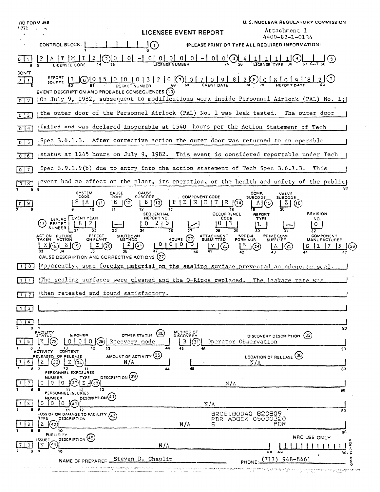| <b>RC FORM 366</b><br>1.771 |                                                                                                                                                                                 | <b>LICENSEE EVENT REPORT</b>                                                   | U.S. NUCLEAR REGULATORY COMMISSION<br>Attachment 1                         |
|-----------------------------|---------------------------------------------------------------------------------------------------------------------------------------------------------------------------------|--------------------------------------------------------------------------------|----------------------------------------------------------------------------|
|                             | CONTROL BLOCK:                                                                                                                                                                  | (PLEASE PRINT OR TYPE ALL REQUIRED INFORMATION)                                | 4400-82-L-0134                                                             |
|                             | $\sqcup(\cdot)$<br>(2) 0<br> 0                                                                                                                                                  | $-1$ 0 0 0 0 0 0 - 0 0 0 $\frac{1}{2}$ $-1$ 0 $\frac{1}{2}$ $-1$ $-1$          | (5)                                                                        |
| <b>CON'T</b><br>$0 \mid 1$  | REPORT L 6 0 15 10 10 13 12 10 0 10 7 0 9 8 2 0 0 0 8 0 0 8 0 0 9 1<br>EVENT DESCRIPTION AND PROBABLE CONSEQUENCES (10)                                                         |                                                                                | <u>'812</u> 1(9)                                                           |
| $0 \mid 2$                  | (On July 9, 1982, subsequent to modifications work inside Personnel Airlock (PAL) No. 1;                                                                                        |                                                                                |                                                                            |
| 0 <sup>13</sup>             | the outer door of the Personnel Airlock (PAL) No. 1 was leak tested. The outer door                                                                                             |                                                                                |                                                                            |
| $0 \mid 4$                  | failed and was declared inoperable at 0540 hours per the Action Statement of Tech                                                                                               |                                                                                |                                                                            |
| $0$   5                     | Spec 3.6.1.3. After corrective action the outer door was returned to an operable                                                                                                |                                                                                |                                                                            |
| $0$ 6                       | status at 1245 hours on July 9, 1982. This event is considered reportable under Tech                                                                                            |                                                                                |                                                                            |
| 7<br>$^{\circ}$             | Spec $6.9.1.9(b)$ due to entry into the action statement of Tech Spec $3.6.1.3$ .                                                                                               |                                                                                | This                                                                       |
| $0$   8<br>89               | event had no effect on the plant, its operation, or the health and safety of the public                                                                                         |                                                                                |                                                                            |
| 9                           | CAUSE<br>CAUSE<br><b>SYSTEM</b><br>CODE<br>CODE<br><b>SUBCODE</b><br>(13)<br>(11,                                                                                               | COMP.<br><b>COMPONENT CODE</b><br><b>SUBCODE</b>                               | VALVE<br><b>SUBCODE</b><br>(16)                                            |
|                             | <b>SEQUENTIAL</b><br><b>EVENT YEAR</b><br>REPORT NO.<br>LER.RO<br>$\mathbf{5}$<br>REPORT<br>NUMBER                                                                              | <b>OCCURRENCE</b><br>CODE                                                      | <b>REVISION</b><br>REPORT<br>TYPE<br>NO.<br>0                              |
|                             | ACTION FUTURE<br>EFFECT<br>SHUTDOWN<br>METHOD<br>ON PLANT<br>TAKEN ACTION<br>0 1 0 1 0 1<br>$^{(2)}$<br>2(20)<br>$\Delta$ (18)<br>CAUSE DESCRIPTION AND CORRECTIVE ACTIONS (27) | NPRD-4<br>ATTACHMENT<br>SUBMITTED<br>HOURS $(22)$<br>FORM SUB.<br>(23)<br>(24) | PRIME COMP.<br><b>COMPONENT</b><br>SUPPLIER<br><b>MANUFACTURER</b><br>(25) |
| $\mathbf{0}$                | Apparently, some foreign material on the sealing surface prevented an adequate seal.                                                                                            |                                                                                |                                                                            |
|                             | The sealing surfaces were cleaned and the O-Rings replaced. The leakage rate was                                                                                                |                                                                                |                                                                            |
|                             | (then retested and found satisfactory.                                                                                                                                          |                                                                                |                                                                            |
| -3                          |                                                                                                                                                                                 |                                                                                |                                                                            |
| 4                           |                                                                                                                                                                                 |                                                                                |                                                                            |
| я                           | -9<br>FACILITY<br>(30)<br>OTHER STATUS<br><b>% POWER</b><br><b>STATUS</b><br>Recovery mode<br>9<br>10<br>12<br>13                                                               | <b>METHOD OF</b><br>DISCOVERY<br>В<br>31<br>Operator Observation<br>45<br>46   | 80<br>(32)<br>DISCOVERY DESCRIPTION                                        |
| 6                           | <b>CONTENT</b><br><b>ACTIVITY</b><br>AMOUNT OF ACTIVITY (35)<br>RELEASED OF RELEASE<br>Ζ<br>N/A<br>33.<br>9<br>10<br>11                                                         | N/A<br>45                                                                      | 80<br>LOCATION OF RELEASE (36)<br>80                                       |
| 7                           | PERSONNEL EXPOSURES<br><b>DESCRIPTION</b> (39<br><b>NUMBER</b><br><b>TYPE</b><br>Z.<br>0<br>0<br>0<br>38                                                                        |                                                                                |                                                                            |
|                             | 13<br>-11<br>PERSONNEL INJURIES                                                                                                                                                 | N/A                                                                            | 80                                                                         |
| -8                          | <b>DESCRIPTION</b> (41)<br><b>NUMBER</b><br>O<br>I O<br>$\Omega$<br>9<br>12<br>11                                                                                               | N/A                                                                            | 80                                                                         |
| 9                           | LOSS OF OR DAMAGE TO FACILITY<br>(43)<br>TYPE<br><b>DESCRIPTION</b>                                                                                                             | 8208180040 820809<br>PDR ADOCK 05000320<br>N/A<br>S                            | PDR                                                                        |
| n                           | 10<br><b>PUBLICITY</b><br>DESCRIPTION (45)<br>ISSUED_<br>(44<br>N/A                                                                                                             |                                                                                | 80<br>NRC USE ONLY<br>$7 - 92$                                             |
|                             | э<br>10<br>Steven D. Chaplin<br>NAME OF PREPARER.                                                                                                                               | PHONE:                                                                         | 68<br>69<br>80.7<br>٠<br>۰<br>(717)<br>948-8461                            |
|                             |                                                                                                                                                                                 |                                                                                |                                                                            |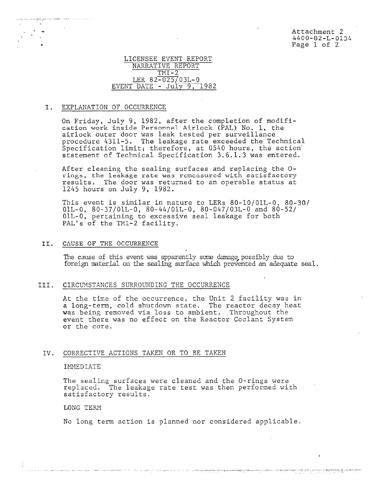Attachment 2 4400-82-L-0134 Page 1 of 2

## LICENSEE EVENT REPORT NARRATIVE REPORT  $TMT-2$ LER 82-025/03L-0 EVENT DATE -  $July 9, 1982$

#### I. EXPLANATION OF OCCURRENCE

On Friday, July 9, 1982, after the completion of modification work inside Personnel Airlock (PAL) No. 1, the airlock outer door was leak tested per surveillance procedure 4311-5. The leakage rate exceeded the Technical Specification limit; therefore, at 0540 hours, the action' statement of Technical Specification 3.6.1.3 was entered.

After cleaning the sealing surfaces and replacing the 0 rings, the leakage rate was romcasurod with satisfactory results. The door was returned to an operable status at 1245 hours on July 9, 1982.

This event is similar in nature to LERs 80-10/01L-0, 80-30/ 01L-0, 80-37/01L-0, 80-44/01L-0, 80-047/03L-0 and 80-52/ 01L-0, pertaining to excessive seal leakage for both PAL's of the TMI-2 facility.

#### II. CAUSE OF THE OCCURRENCE

The cause of this event was apparently some damage possibly due to foreign material on the sealing surface which prevented an adequate seal.

## III. CIRCUMSTANCES SURROUNDING THE OCCURRENCE

At the time of the occurrence, the Unit 2 facility was in a long-term, cold shutdown state. The reactor decay heat was being removed via loss to ambient. Throughout the event there was no effect on the Reactor Coolant System or the core.

#### IV. CORRECTIVE ACTIONS TAKEN OR TO BE TAKEN

wijn die sted saak een nadische eerstelling van de de stelle de stelle de staanstelling van de saak de komplekte

#### IMMEDIATE

The sealing surfaces were cleaned and the 0-rings were replaced. The leakage rate test was then performed with satisfactory results.

## LONG TERM

No long term action is planned nor considered applicable.

لموروز وسيمتون بالأركوب والمراكب والموادع والمحادث والإفادة والوثنة لأنفخ المراد والمستحدث والمنادع والمقتد والمناقص والمواد المستحدث